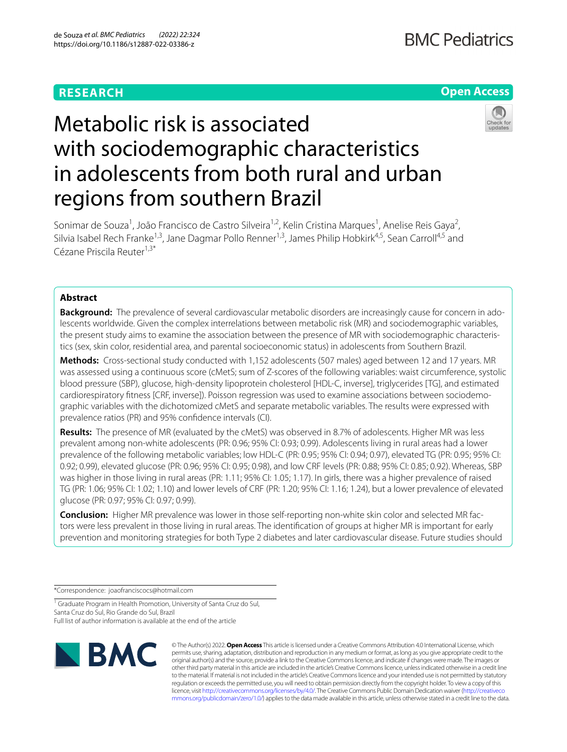# **RESEARCH**

# **Open Access**

# Metabolic risk is associated with sociodemographic characteristics in adolescents from both rural and urban regions from southern Brazil

Sonimar de Souza<sup>1</sup>, João Francisco de Castro Silveira<sup>1,2</sup>, Kelin Cristina Marques<sup>1</sup>, Anelise Reis Gaya<sup>2</sup>, Silvia Isabel Rech Franke<sup>1,3</sup>, Jane Dagmar Pollo Renner<sup>1,3</sup>, James Philip Hobkirk<sup>4,5</sup>, Sean Carroll<sup>4,5</sup> and Cézane Priscila Reuter1,3\*

## **Abstract**

**Background:** The prevalence of several cardiovascular metabolic disorders are increasingly cause for concern in adolescents worldwide. Given the complex interrelations between metabolic risk (MR) and sociodemographic variables, the present study aims to examine the association between the presence of MR with sociodemographic characteristics (sex, skin color, residential area, and parental socioeconomic status) in adolescents from Southern Brazil.

**Methods:** Cross-sectional study conducted with 1,152 adolescents (507 males) aged between 12 and 17 years. MR was assessed using a continuous score (cMetS; sum of Z-scores of the following variables: waist circumference, systolic blood pressure (SBP), glucose, high-density lipoprotein cholesterol [HDL-C, inverse], triglycerides [TG], and estimated cardiorespiratory ftness [CRF, inverse]). Poisson regression was used to examine associations between sociodemographic variables with the dichotomized cMetS and separate metabolic variables. The results were expressed with prevalence ratios (PR) and 95% confdence intervals (CI).

**Results:** The presence of MR (evaluated by the cMetS) was observed in 8.7% of adolescents. Higher MR was less prevalent among non-white adolescents (PR: 0.96; 95% CI: 0.93; 0.99). Adolescents living in rural areas had a lower prevalence of the following metabolic variables; low HDL-C (PR: 0.95; 95% CI: 0.94; 0.97), elevated TG (PR: 0.95; 95% CI: 0.92; 0.99), elevated glucose (PR: 0.96; 95% CI: 0.95; 0.98), and low CRF levels (PR: 0.88; 95% CI: 0.85; 0.92). Whereas, SBP was higher in those living in rural areas (PR: 1.11; 95% CI: 1.05; 1.17). In girls, there was a higher prevalence of raised TG (PR: 1.06; 95% CI: 1.02; 1.10) and lower levels of CRF (PR: 1.20; 95% CI: 1.16; 1.24), but a lower prevalence of elevated glucose (PR: 0.97; 95% CI: 0.97; 0.99).

**Conclusion:** Higher MR prevalence was lower in those self-reporting non-white skin color and selected MR factors were less prevalent in those living in rural areas. The identifcation of groups at higher MR is important for early prevention and monitoring strategies for both Type 2 diabetes and later cardiovascular disease. Future studies should

\*Correspondence: joaofranciscocs@hotmail.com

<sup>1</sup> Graduate Program in Health Promotion, University of Santa Cruz do Sul, Santa Cruz do Sul, Rio Grande do Sul, Brazil Full list of author information is available at the end of the article



© The Author(s) 2022. **Open Access** This article is licensed under a Creative Commons Attribution 4.0 International License, which permits use, sharing, adaptation, distribution and reproduction in any medium or format, as long as you give appropriate credit to the original author(s) and the source, provide a link to the Creative Commons licence, and indicate if changes were made. The images or other third party material in this article are included in the article's Creative Commons licence, unless indicated otherwise in a credit line to the material. If material is not included in the article's Creative Commons licence and your intended use is not permitted by statutory regulation or exceeds the permitted use, you will need to obtain permission directly from the copyright holder. To view a copy of this licence, visit [http://creativecommons.org/licenses/by/4.0/.](http://creativecommons.org/licenses/by/4.0/) The Creative Commons Public Domain Dedication waiver ([http://creativeco](http://creativecommons.org/publicdomain/zero/1.0/) [mmons.org/publicdomain/zero/1.0/](http://creativecommons.org/publicdomain/zero/1.0/)) applies to the data made available in this article, unless otherwise stated in a credit line to the data.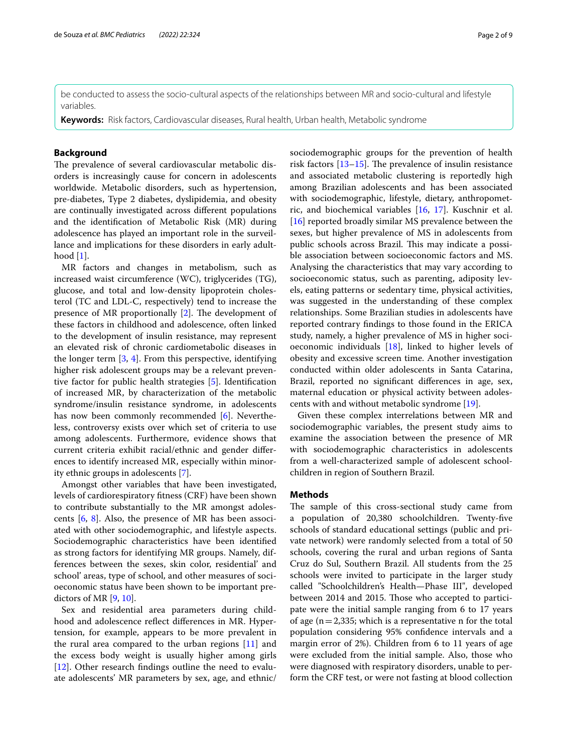be conducted to assess the socio-cultural aspects of the relationships between MR and socio-cultural and lifestyle variables.

**Keywords:** Risk factors, Cardiovascular diseases, Rural health, Urban health, Metabolic syndrome

### **Background**

The prevalence of several cardiovascular metabolic disorders is increasingly cause for concern in adolescents worldwide. Metabolic disorders, such as hypertension, pre-diabetes, Type 2 diabetes, dyslipidemia, and obesity are continually investigated across diferent populations and the identifcation of Metabolic Risk (MR) during adolescence has played an important role in the surveillance and implications for these disorders in early adulthood  $[1]$  $[1]$ .

MR factors and changes in metabolism, such as increased waist circumference (WC), triglycerides (TG), glucose, and total and low-density lipoprotein cholesterol (TC and LDL-C, respectively) tend to increase the presence of MR proportionally  $[2]$  $[2]$ . The development of these factors in childhood and adolescence, often linked to the development of insulin resistance, may represent an elevated risk of chronic cardiometabolic diseases in the longer term [[3,](#page-7-2) [4\]](#page-7-3). From this perspective, identifying higher risk adolescent groups may be a relevant preventive factor for public health strategies [[5\]](#page-7-4). Identifcation of increased MR, by characterization of the metabolic syndrome/insulin resistance syndrome, in adolescents has now been commonly recommended [\[6](#page-7-5)]. Nevertheless, controversy exists over which set of criteria to use among adolescents. Furthermore, evidence shows that current criteria exhibit racial/ethnic and gender diferences to identify increased MR, especially within minority ethnic groups in adolescents [[7\]](#page-7-6).

Amongst other variables that have been investigated, levels of cardiorespiratory ftness (CRF) have been shown to contribute substantially to the MR amongst adolescents [[6,](#page-7-5) [8\]](#page-7-7). Also, the presence of MR has been associated with other sociodemographic, and lifestyle aspects. Sociodemographic characteristics have been identifed as strong factors for identifying MR groups. Namely, differences between the sexes, skin color, residential' and school' areas, type of school, and other measures of socioeconomic status have been shown to be important predictors of MR  $[9, 10]$  $[9, 10]$  $[9, 10]$ .

Sex and residential area parameters during childhood and adolescence refect diferences in MR. Hypertension, for example, appears to be more prevalent in the rural area compared to the urban regions [\[11](#page-7-10)] and the excess body weight is usually higher among girls [[12\]](#page-7-11). Other research fndings outline the need to evaluate adolescents' MR parameters by sex, age, and ethnic/ sociodemographic groups for the prevention of health risk factors  $[13-15]$  $[13-15]$  $[13-15]$ . The prevalence of insulin resistance and associated metabolic clustering is reportedly high among Brazilian adolescents and has been associated with sociodemographic, lifestyle, dietary, anthropometric, and biochemical variables [[16](#page-7-14), [17\]](#page-7-15). Kuschnir et al. [[16\]](#page-7-14) reported broadly similar MS prevalence between the sexes, but higher prevalence of MS in adolescents from public schools across Brazil. This may indicate a possible association between socioeconomic factors and MS. Analysing the characteristics that may vary according to socioeconomic status, such as parenting, adiposity levels, eating patterns or sedentary time, physical activities, was suggested in the understanding of these complex relationships. Some Brazilian studies in adolescents have reported contrary fndings to those found in the ERICA study, namely, a higher prevalence of MS in higher socioeconomic individuals [[18\]](#page-7-16), linked to higher levels of obesity and excessive screen time. Another investigation conducted within older adolescents in Santa Catarina, Brazil, reported no signifcant diferences in age, sex, maternal education or physical activity between adolescents with and without metabolic syndrome [[19\]](#page-7-17).

Given these complex interrelations between MR and sociodemographic variables, the present study aims to examine the association between the presence of MR with sociodemographic characteristics in adolescents from a well-characterized sample of adolescent schoolchildren in region of Southern Brazil.

#### **Methods**

The sample of this cross-sectional study came from a population of 20,380 schoolchildren. Twenty-fve schools of standard educational settings (public and private network) were randomly selected from a total of 50 schools, covering the rural and urban regions of Santa Cruz do Sul, Southern Brazil. All students from the 25 schools were invited to participate in the larger study called "Schoolchildren's Health—Phase III", developed between 2014 and 2015. Those who accepted to participate were the initial sample ranging from 6 to 17 years of age  $(n=2,335;$  which is a representative n for the total population considering 95% confdence intervals and a margin error of 2%). Children from 6 to 11 years of age were excluded from the initial sample. Also, those who were diagnosed with respiratory disorders, unable to perform the CRF test, or were not fasting at blood collection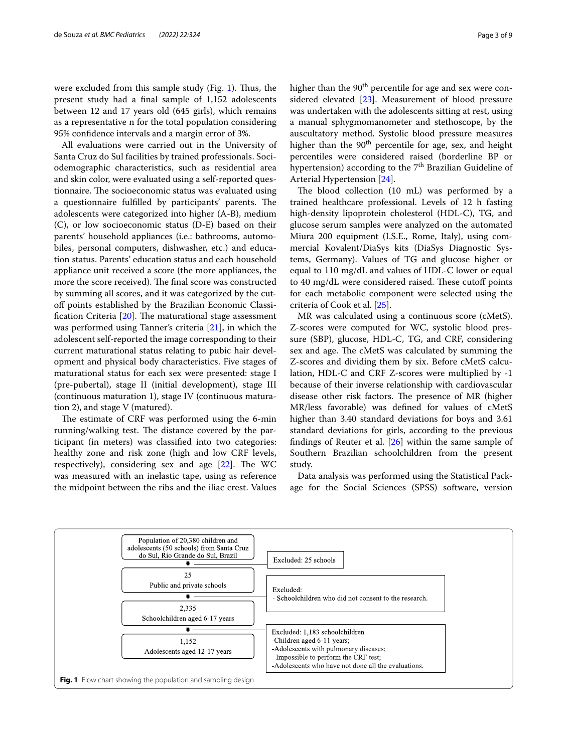were excluded from this sample study (Fig. [1](#page-2-0)). Thus, the present study had a fnal sample of 1,152 adolescents between 12 and 17 years old (645 girls), which remains as a representative n for the total population considering 95% confdence intervals and a margin error of 3%.

All evaluations were carried out in the University of Santa Cruz do Sul facilities by trained professionals. Sociodemographic characteristics, such as residential area and skin color, were evaluated using a self-reported questionnaire. The socioeconomic status was evaluated using a questionnaire fulfilled by participants' parents. The adolescents were categorized into higher (A-B), medium (C), or low socioeconomic status (D-E) based on their parents' household appliances (i.e.: bathrooms, automobiles, personal computers, dishwasher, etc.) and education status. Parents' education status and each household appliance unit received a score (the more appliances, the more the score received). The final score was constructed by summing all scores, and it was categorized by the cutof points established by the Brazilian Economic Classification Criteria  $[20]$  $[20]$  $[20]$ . The maturational stage assessment was performed using Tanner's criteria [\[21](#page-7-19)], in which the adolescent self-reported the image corresponding to their current maturational status relating to pubic hair development and physical body characteristics. Five stages of maturational status for each sex were presented: stage I (pre-pubertal), stage II (initial development), stage III (continuous maturation 1), stage IV (continuous maturation 2), and stage V (matured).

The estimate of CRF was performed using the 6-min running/walking test. The distance covered by the participant (in meters) was classifed into two categories: healthy zone and risk zone (high and low CRF levels, respectively), considering sex and age  $[22]$  $[22]$ . The WC was measured with an inelastic tape, using as reference the midpoint between the ribs and the iliac crest. Values higher than the  $90<sup>th</sup>$  percentile for age and sex were considered elevated [[23\]](#page-7-21). Measurement of blood pressure was undertaken with the adolescents sitting at rest, using a manual sphygmomanometer and stethoscope, by the auscultatory method. Systolic blood pressure measures higher than the  $90<sup>th</sup>$  percentile for age, sex, and height percentiles were considered raised (borderline BP or hypertension) according to the  $7<sup>th</sup>$  Brazilian Guideline of Arterial Hypertension [\[24](#page-7-22)].

The blood collection (10 mL) was performed by a trained healthcare professional. Levels of 12 h fasting high-density lipoprotein cholesterol (HDL-C), TG, and glucose serum samples were analyzed on the automated Miura 200 equipment (I.S.E., Rome, Italy), using commercial Kovalent/DiaSys kits (DiaSys Diagnostic Systems, Germany). Values of TG and glucose higher or equal to 110 mg/dL and values of HDL-C lower or equal to 40 mg/dL were considered raised. These cutoff points for each metabolic component were selected using the criteria of Cook et al. [\[25\]](#page-7-23).

MR was calculated using a continuous score (cMetS). Z-scores were computed for WC, systolic blood pressure (SBP), glucose, HDL-C, TG, and CRF, considering sex and age. The cMetS was calculated by summing the Z-scores and dividing them by six. Before cMetS calculation, HDL-C and CRF Z-scores were multiplied by -1 because of their inverse relationship with cardiovascular disease other risk factors. The presence of MR (higher MR/less favorable) was defned for values of cMetS higher than 3.40 standard deviations for boys and 3.61 standard deviations for girls, according to the previous fndings of Reuter et al. [[26\]](#page-7-24) within the same sample of Southern Brazilian schoolchildren from the present study.

Data analysis was performed using the Statistical Package for the Social Sciences (SPSS) software, version

<span id="page-2-0"></span>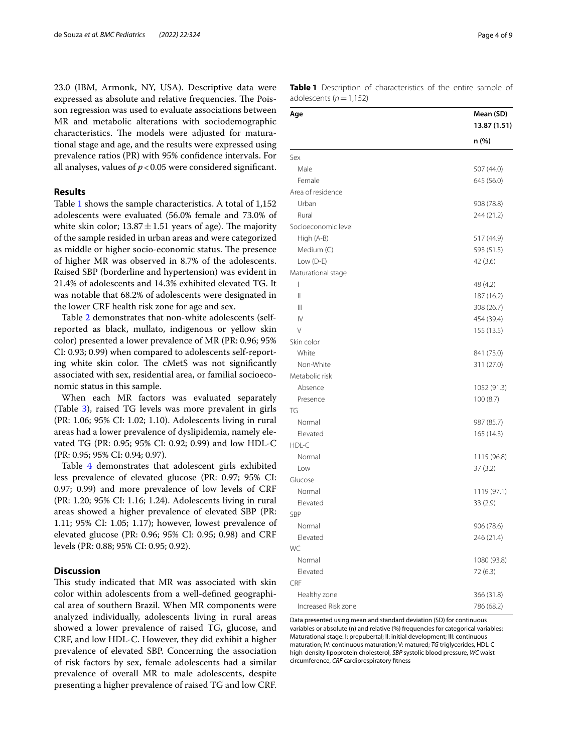23.0 (IBM, Armonk, NY, USA). Descriptive data were expressed as absolute and relative frequencies. The Poisson regression was used to evaluate associations between MR and metabolic alterations with sociodemographic characteristics. The models were adjusted for maturational stage and age, and the results were expressed using prevalence ratios (PR) with 95% confdence intervals. For all analyses, values of  $p < 0.05$  were considered significant.

### **Results**

Table [1](#page-3-0) shows the sample characteristics. A total of 1,152 adolescents were evaluated (56.0% female and 73.0% of white skin color;  $13.87 \pm 1.51$  years of age). The majority of the sample resided in urban areas and were categorized as middle or higher socio-economic status. The presence of higher MR was observed in 8.7% of the adolescents. Raised SBP (borderline and hypertension) was evident in 21.4% of adolescents and 14.3% exhibited elevated TG. It was notable that 68.2% of adolescents were designated in the lower CRF health risk zone for age and sex.

Table [2](#page-4-0) demonstrates that non-white adolescents (selfreported as black, mullato, indigenous or yellow skin color) presented a lower prevalence of MR (PR: 0.96; 95% CI: 0.93; 0.99) when compared to adolescents self-reporting white skin color. The cMetS was not significantly associated with sex, residential area, or familial socioeconomic status in this sample.

When each MR factors was evaluated separately (Table [3](#page-4-1)), raised TG levels was more prevalent in girls (PR: 1.06; 95% CI: 1.02; 1.10). Adolescents living in rural areas had a lower prevalence of dyslipidemia, namely elevated TG (PR: 0.95; 95% CI: 0.92; 0.99) and low HDL-C (PR: 0.95; 95% CI: 0.94; 0.97).

Table [4](#page-5-0) demonstrates that adolescent girls exhibited less prevalence of elevated glucose (PR: 0.97; 95% CI: 0.97; 0.99) and more prevalence of low levels of CRF (PR: 1.20; 95% CI: 1.16; 1.24). Adolescents living in rural areas showed a higher prevalence of elevated SBP (PR: 1.11; 95% CI: 1.05; 1.17); however, lowest prevalence of elevated glucose (PR: 0.96; 95% CI: 0.95; 0.98) and CRF levels (PR: 0.88; 95% CI: 0.95; 0.92).

#### **Discussion**

This study indicated that MR was associated with skin color within adolescents from a well-defned geographical area of southern Brazil. When MR components were analyzed individually, adolescents living in rural areas showed a lower prevalence of raised TG, glucose, and CRF, and low HDL-C. However, they did exhibit a higher prevalence of elevated SBP. Concerning the association of risk factors by sex, female adolescents had a similar prevalence of overall MR to male adolescents, despite presenting a higher prevalence of raised TG and low CRF.

| Page 4 of 9 |
|-------------|
|-------------|

<span id="page-3-0"></span>**Table 1** Description of characteristics of the entire sample of adolescents (*n*=1,152)

| Age                 | Mean (SD)<br>13.87 (1.51) |  |  |
|---------------------|---------------------------|--|--|
|                     | n (%)                     |  |  |
| Sex                 |                           |  |  |
| Male                | 507 (44.0)                |  |  |
| Female              | 645 (56.0)                |  |  |
| Area of residence   |                           |  |  |
| Urban               | 908 (78.8)                |  |  |
| Rural               | 244 (21.2)                |  |  |
| Socioeconomic level |                           |  |  |
| High (A-B)          | 517 (44.9)                |  |  |
| Medium (C)          | 593 (51.5)                |  |  |
| Low (D-E)           | 42 (3.6)                  |  |  |
| Maturational stage  |                           |  |  |
| I                   | 48 (4.2)                  |  |  |
| Ш                   | 187 (16.2)                |  |  |
| Ш                   | 308 (26.7)                |  |  |
| $\mathsf{IV}$       | 454 (39.4)                |  |  |
| $\vee$              | 155 (13.5)                |  |  |
| Skin color          |                           |  |  |
| White               | 841 (73.0)                |  |  |
| Non-White           | 311 (27.0)                |  |  |
| Metabolic risk      |                           |  |  |
| Absence             | 1052 (91.3)               |  |  |
| Presence            | 100(8.7)                  |  |  |
| TG                  |                           |  |  |
| Normal              | 987 (85.7)                |  |  |
| Elevated            | 165 (14.3)                |  |  |
| HDL-C               |                           |  |  |
| Normal              | 1115 (96.8)               |  |  |
| Low                 | 37(3.2)                   |  |  |
| Glucose             |                           |  |  |
| Normal              | 1119 (97.1)               |  |  |
| Elevated            | 33(2.9)                   |  |  |
| <b>SBP</b>          |                           |  |  |
| Normal              | 906 (78.6)                |  |  |
| Elevated            | 246 (21.4)                |  |  |
| WC                  |                           |  |  |
| Normal              | 1080 (93.8)               |  |  |
| Elevated            | 72 (6.3)                  |  |  |
| CRF                 |                           |  |  |
| Healthy zone        | 366 (31.8)                |  |  |
| Increased Risk zone | 786 (68.2)                |  |  |

Data presented using mean and standard deviation (SD) for continuous variables or absolute (n) and relative (%) frequencies for categorical variables; Maturational stage: I: prepubertal; II: initial development; III: continuous maturation; IV: continuous maturation; V: matured; *TG* triglycerides, HDL-C high-density lipoprotein cholesterol, *SBP* systolic blood pressure, *WC* waist circumference, *CRF* cardiorespiratory ftness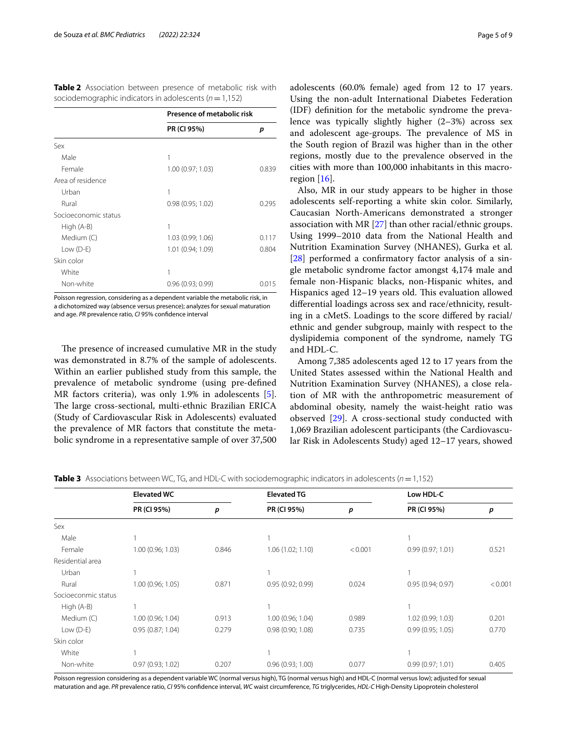<span id="page-4-0"></span>**Table 2** Association between presence of metabolic risk with sociodemographic indicators in adolescents (*n*=1,152)

|                      | Presence of metabolic risk |       |
|----------------------|----------------------------|-------|
|                      | PR (CI 95%)                | р     |
| Sex                  |                            |       |
| Male                 | 1                          |       |
| Female               | 1.00 (0.97; 1.03)          | 0.839 |
| Area of residence    |                            |       |
| Urban                | 1                          |       |
| Rural                | 0.98(0.95; 1.02)           | 0.295 |
| Socioeconomic status |                            |       |
| High (A-B)           | 1                          |       |
| Medium (C)           | 1.03 (0.99; 1.06)          | 0.117 |
| Low $(D-E)$          | 1.01 (0.94; 1.09)          | 0.804 |
| Skin color           |                            |       |
| White                | 1                          |       |
| Non-white            | 0.96(0.93; 0.99)           | 0.015 |

Poisson regression, considering as a dependent variable the metabolic risk, in a dichotomized way (absence versus presence); analyzes for sexual maturation and age. *PR* prevalence ratio, *CI* 95% confdence interval

The presence of increased cumulative MR in the study was demonstrated in 8.7% of the sample of adolescents. Within an earlier published study from this sample, the prevalence of metabolic syndrome (using pre-defned MR factors criteria), was only 1.9% in adolescents [\[5](#page-7-4)]. The large cross-sectional, multi-ethnic Brazilian ERICA (Study of Cardiovascular Risk in Adolescents) evaluated the prevalence of MR factors that constitute the metabolic syndrome in a representative sample of over 37,500

adolescents (60.0% female) aged from 12 to 17 years. Using the non-adult International Diabetes Federation (IDF) defnition for the metabolic syndrome the prevalence was typically slightly higher (2–3%) across sex and adolescent age-groups. The prevalence of MS in the South region of Brazil was higher than in the other regions, mostly due to the prevalence observed in the cities with more than 100,000 inhabitants in this macroregion  $[16]$  $[16]$ .

Also, MR in our study appears to be higher in those adolescents self-reporting a white skin color. Similarly, Caucasian North-Americans demonstrated a stronger association with MR [[27\]](#page-7-25) than other racial/ethnic groups. Using 1999–2010 data from the National Health and Nutrition Examination Survey (NHANES), Gurka et al. [[28\]](#page-7-26) performed a confrmatory factor analysis of a single metabolic syndrome factor amongst 4,174 male and female non-Hispanic blacks, non-Hispanic whites, and Hispanics aged  $12-19$  years old. This evaluation allowed diferential loadings across sex and race/ethnicity, resulting in a cMetS. Loadings to the score difered by racial/ ethnic and gender subgroup, mainly with respect to the dyslipidemia component of the syndrome, namely TG and HDL-C.

Among 7,385 adolescents aged 12 to 17 years from the United States assessed within the National Health and Nutrition Examination Survey (NHANES), a close relation of MR with the anthropometric measurement of abdominal obesity, namely the waist-height ratio was observed [[29](#page-7-27)]. A cross-sectional study conducted with 1,069 Brazilian adolescent participants (the Cardiovascular Risk in Adolescents Study) aged 12–17 years, showed

<span id="page-4-1"></span>**Table 3** Associations between WC, TG, and HDL-C with sociodemographic indicators in adolescents (*n*=1,152)

|                     | <b>Elevated WC</b> |       | <b>Elevated TG</b> |         | Low HDL-C         |         |
|---------------------|--------------------|-------|--------------------|---------|-------------------|---------|
|                     | PR (CI 95%)        | p     | PR (CI 95%)        | p       | PR (CI 95%)       | p       |
| Sex                 |                    |       |                    |         |                   |         |
| Male                |                    |       |                    |         |                   |         |
| Female              | 1.00 (0.96; 1.03)  | 0.846 | 1.06(1.02; 1.10)   | < 0.001 | 0.99(0.97; 1.01)  | 0.521   |
| Residential area    |                    |       |                    |         |                   |         |
| Urban               |                    |       |                    |         |                   |         |
| Rural               | 1.00 (0.96; 1.05)  | 0.871 | 0.95(0.92; 0.99)   | 0.024   | 0.95(0.94; 0.97)  | < 0.001 |
| Socioeconmic status |                    |       |                    |         |                   |         |
| High (A-B)          |                    |       |                    |         |                   |         |
| Medium (C)          | 1.00 (0.96; 1.04)  | 0.913 | 1.00(0.96; 1.04)   | 0.989   | 1.02 (0.99; 1.03) | 0.201   |
| Low $(D-E)$         | 0.95(0.87; 1.04)   | 0.279 | 0.98(0.90; 1.08)   | 0.735   | 0.99(0.95; 1.05)  | 0.770   |
| Skin color          |                    |       |                    |         |                   |         |
| White               |                    |       |                    |         |                   |         |
| Non-white           | 0.97(0.93; 1.02)   | 0.207 | 0.96(0.93; 1.00)   | 0.077   | 0.99(0.97; 1.01)  | 0.405   |

Poisson regression considering as a dependent variable WC (normal versus high), TG (normal versus high) and HDL-C (normal versus low); adjusted for sexual maturation and age. *PR* prevalence ratio, *CI* 95% confdence interval, *WC* waist circumference, *TG* triglycerides, *HDL-C* High-Density Lipoprotein cholesterol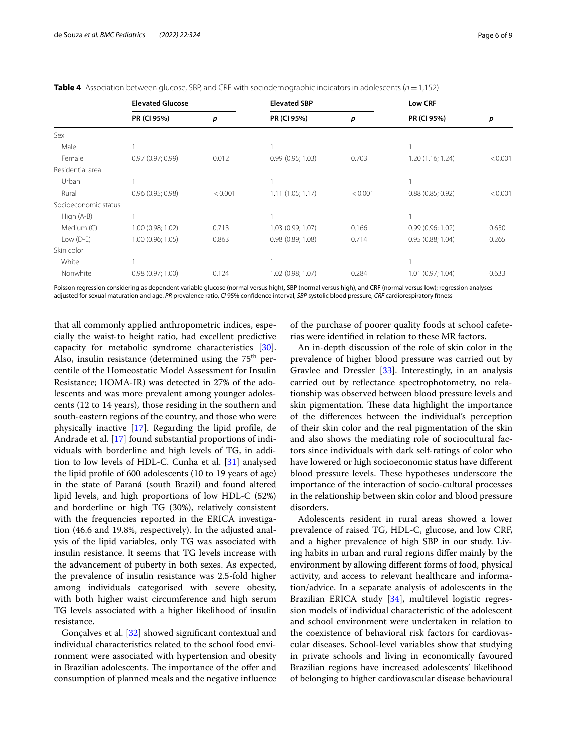<span id="page-5-0"></span>**Table 4** Association between glucose, SBP, and CRF with sociodemographic indicators in adolescents (*n* = 1,152)

|                      | <b>Elevated Glucose</b> |                  | <b>Elevated SBP</b> |         | <b>Low CRF</b>    |         |
|----------------------|-------------------------|------------------|---------------------|---------|-------------------|---------|
|                      | PR (CI 95%)             | $\boldsymbol{p}$ | PR (CI 95%)         | p       | PR (CI 95%)       | p       |
| Sex                  |                         |                  |                     |         |                   |         |
| Male                 |                         |                  |                     |         |                   |         |
| Female               | 0.97(0.97; 0.99)        | 0.012            | 0.99(0.95; 1.03)    | 0.703   | 1.20 (1.16; 1.24) | < 0.001 |
| Residential area     |                         |                  |                     |         |                   |         |
| Urban                |                         |                  |                     |         |                   |         |
| Rural                | 0.96(0.95; 0.98)        | < 0.001          | 1.11(1.05; 1.17)    | < 0.001 | 0.88(0.85; 0.92)  | < 0.001 |
| Socioeconomic status |                         |                  |                     |         |                   |         |
| High (A-B)           |                         |                  |                     |         |                   |         |
| Medium (C)           | 1.00 (0.98; 1.02)       | 0.713            | 1.03 (0.99; 1.07)   | 0.166   | 0.99(0.96; 1.02)  | 0.650   |
| Low $(D-E)$          | 1.00(0.96; 1.05)        | 0.863            | 0.98(0.89; 1.08)    | 0.714   | 0.95(0.88; 1.04)  | 0.265   |
| Skin color           |                         |                  |                     |         |                   |         |
| White                |                         |                  |                     |         |                   |         |
| Nonwhite             | 0.98(0.97; 1.00)        | 0.124            | 1.02 (0.98; 1.07)   | 0.284   | 1.01 (0.97; 1.04) | 0.633   |

Poisson regression considering as dependent variable glucose (normal versus high), SBP (normal versus high), and CRF (normal versus low); regression analyses adjusted for sexual maturation and age. *PR* prevalence ratio, *CI* 95% confdence interval, *SBP* systolic blood pressure, *CRF* cardiorespiratory ftness

that all commonly applied anthropometric indices, especially the waist-to height ratio, had excellent predictive capacity for metabolic syndrome characteristics [\[30](#page-7-28)]. Also, insulin resistance (determined using the  $75<sup>th</sup>$  percentile of the Homeostatic Model Assessment for Insulin Resistance; HOMA-IR) was detected in 27% of the adolescents and was more prevalent among younger adolescents (12 to 14 years), those residing in the southern and south-eastern regions of the country, and those who were physically inactive [\[17\]](#page-7-15). Regarding the lipid profle, de Andrade et al. [\[17\]](#page-7-15) found substantial proportions of individuals with borderline and high levels of TG, in addition to low levels of HDL-C. Cunha et al. [[31\]](#page-8-0) analysed the lipid profle of 600 adolescents (10 to 19 years of age) in the state of Paraná (south Brazil) and found altered lipid levels, and high proportions of low HDL-C (52%) and borderline or high TG (30%), relatively consistent with the frequencies reported in the ERICA investigation (46.6 and 19.8%, respectively). In the adjusted analysis of the lipid variables, only TG was associated with insulin resistance. It seems that TG levels increase with the advancement of puberty in both sexes. As expected, the prevalence of insulin resistance was 2.5-fold higher among individuals categorised with severe obesity, with both higher waist circumference and high serum TG levels associated with a higher likelihood of insulin resistance.

Gonçalves et al. [\[32](#page-8-1)] showed signifcant contextual and individual characteristics related to the school food environment were associated with hypertension and obesity in Brazilian adolescents. The importance of the offer and consumption of planned meals and the negative infuence

of the purchase of poorer quality foods at school cafeterias were identifed in relation to these MR factors.

An in-depth discussion of the role of skin color in the prevalence of higher blood pressure was carried out by Gravlee and Dressler [\[33\]](#page-8-2). Interestingly, in an analysis carried out by refectance spectrophotometry, no relationship was observed between blood pressure levels and skin pigmentation. These data highlight the importance of the diferences between the individual's perception of their skin color and the real pigmentation of the skin and also shows the mediating role of sociocultural factors since individuals with dark self-ratings of color who have lowered or high socioeconomic status have diferent blood pressure levels. These hypotheses underscore the importance of the interaction of socio-cultural processes in the relationship between skin color and blood pressure disorders.

Adolescents resident in rural areas showed a lower prevalence of raised TG, HDL-C, glucose, and low CRF, and a higher prevalence of high SBP in our study. Living habits in urban and rural regions difer mainly by the environment by allowing diferent forms of food, physical activity, and access to relevant healthcare and information/advice. In a separate analysis of adolescents in the Brazilian ERICA study [\[34\]](#page-8-3), multilevel logistic regression models of individual characteristic of the adolescent and school environment were undertaken in relation to the coexistence of behavioral risk factors for cardiovascular diseases. School-level variables show that studying in private schools and living in economically favoured Brazilian regions have increased adolescents' likelihood of belonging to higher cardiovascular disease behavioural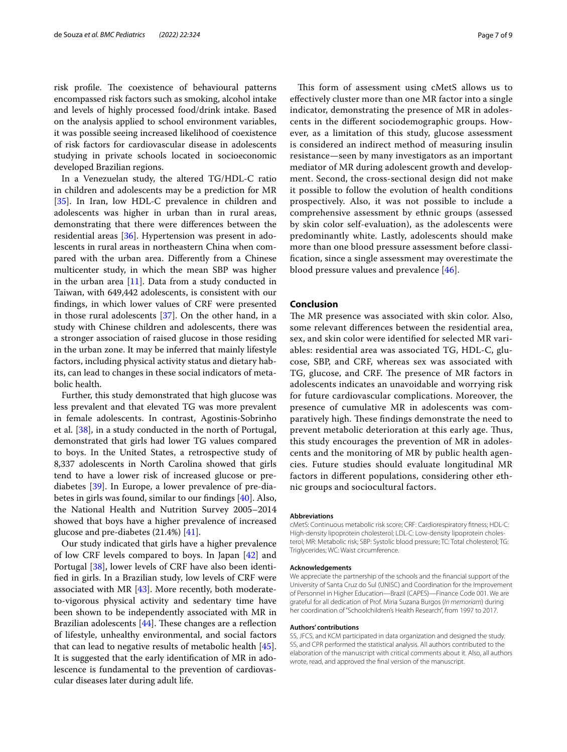risk profile. The coexistence of behavioural patterns encompassed risk factors such as smoking, alcohol intake and levels of highly processed food/drink intake. Based on the analysis applied to school environment variables, it was possible seeing increased likelihood of coexistence of risk factors for cardiovascular disease in adolescents studying in private schools located in socioeconomic developed Brazilian regions.

In a Venezuelan study, the altered TG/HDL-C ratio in children and adolescents may be a prediction for MR [[35\]](#page-8-4). In Iran, low HDL-C prevalence in children and adolescents was higher in urban than in rural areas, demonstrating that there were diferences between the residential areas [\[36](#page-8-5)]. Hypertension was present in adolescents in rural areas in northeastern China when compared with the urban area. Diferently from a Chinese multicenter study, in which the mean SBP was higher in the urban area  $[11]$  $[11]$  $[11]$ . Data from a study conducted in Taiwan, with 649,442 adolescents, is consistent with our fndings, in which lower values of CRF were presented in those rural adolescents [\[37\]](#page-8-6). On the other hand, in a study with Chinese children and adolescents, there was a stronger association of raised glucose in those residing in the urban zone. It may be inferred that mainly lifestyle factors, including physical activity status and dietary habits, can lead to changes in these social indicators of metabolic health.

Further, this study demonstrated that high glucose was less prevalent and that elevated TG was more prevalent in female adolescents. In contrast, Agostinis-Sobrinho et al. [[38](#page-8-7)], in a study conducted in the north of Portugal, demonstrated that girls had lower TG values compared to boys. In the United States, a retrospective study of 8,337 adolescents in North Carolina showed that girls tend to have a lower risk of increased glucose or prediabetes [\[39](#page-8-8)]. In Europe, a lower prevalence of pre-diabetes in girls was found, similar to our fndings [\[40](#page-8-9)]. Also, the National Health and Nutrition Survey 2005–2014 showed that boys have a higher prevalence of increased glucose and pre-diabetes (21.4%) [[41\]](#page-8-10).

Our study indicated that girls have a higher prevalence of low CRF levels compared to boys. In Japan [[42](#page-8-11)] and Portugal [[38](#page-8-7)], lower levels of CRF have also been identifed in girls. In a Brazilian study, low levels of CRF were associated with MR  $[43]$  $[43]$  $[43]$ . More recently, both moderateto-vigorous physical activity and sedentary time have been shown to be independently associated with MR in Brazilian adolescents  $[44]$  $[44]$ . These changes are a reflection of lifestyle, unhealthy environmental, and social factors that can lead to negative results of metabolic health [\[45](#page-8-14)]. It is suggested that the early identifcation of MR in adolescence is fundamental to the prevention of cardiovascular diseases later during adult life.

This form of assessment using cMetS allows us to efectively cluster more than one MR factor into a single indicator, demonstrating the presence of MR in adolescents in the diferent sociodemographic groups. However, as a limitation of this study, glucose assessment is considered an indirect method of measuring insulin resistance—seen by many investigators as an important mediator of MR during adolescent growth and development. Second, the cross-sectional design did not make it possible to follow the evolution of health conditions prospectively. Also, it was not possible to include a comprehensive assessment by ethnic groups (assessed by skin color self-evaluation), as the adolescents were predominantly white. Lastly, adolescents should make more than one blood pressure assessment before classifcation, since a single assessment may overestimate the blood pressure values and prevalence [\[46](#page-8-15)].

#### **Conclusion**

The MR presence was associated with skin color. Also, some relevant diferences between the residential area, sex, and skin color were identifed for selected MR variables: residential area was associated TG, HDL-C, glucose, SBP, and CRF, whereas sex was associated with TG, glucose, and CRF. The presence of MR factors in adolescents indicates an unavoidable and worrying risk for future cardiovascular complications. Moreover, the presence of cumulative MR in adolescents was comparatively high. These findings demonstrate the need to prevent metabolic deterioration at this early age. Thus, this study encourages the prevention of MR in adolescents and the monitoring of MR by public health agencies. Future studies should evaluate longitudinal MR factors in diferent populations, considering other ethnic groups and sociocultural factors.

#### **Abbreviations**

cMetS: Continuous metabolic risk score; CRF: Cardiorespiratory ftness; HDL-C: High-density lipoprotein cholesterol; LDL-C: Low-density lipoprotein cholesterol; MR: Metabolic risk; SBP: Systolic blood pressure; TC: Total cholesterol; TG: Triglycerides; WC: Waist circumference.

#### **Acknowledgements**

We appreciate the partnership of the schools and the fnancial support of the University of Santa Cruz do Sul (UNISC) and Coordination for the Improvement of Personnel in Higher Education—Brazil (CAPES)—Finance Code 001. We are grateful for all dedication of Prof. Miria Suzana Burgos (*In memoriam*) during her coordination of "Schoolchildren's Health Research", from 1997 to 2017.

#### **Authors' contributions**

SS, JFCS, and KCM participated in data organization and designed the study. SS, and CPR performed the statistical analysis. All authors contributed to the elaboration of the manuscript with critical comments about it. Also, all authors wrote, read, and approved the fnal version of the manuscript.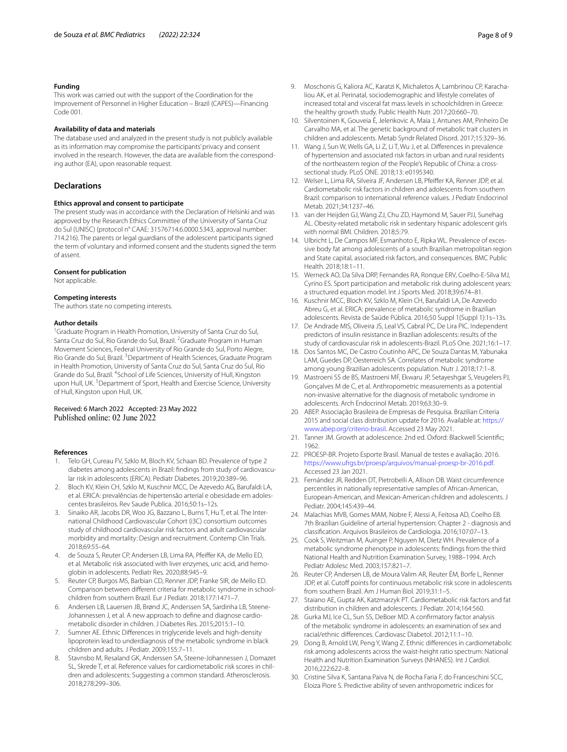#### **Funding**

This work was carried out with the support of the Coordination for the Improvement of Personnel in Higher Education – Brazil (CAPES)—Financing Code 001.

#### **Availability of data and materials**

The database used and analyzed in the present study is not publicly available as its information may compromise the participants' privacy and consent involved in the research. However, the data are available from the corresponding author (EA), upon reasonable request.

#### **Declarations**

#### **Ethics approval and consent to participate**

The present study was in accordance with the Declaration of Helsinki and was approved by the Research Ethics Committee of the University of Santa Cruz do Sul (UNISC) (protocol n° CAAE: 31576714.6.0000.5343, approval number: 714.216). The parents or legal guardians of the adolescent participants signed the term of voluntary and informed consent and the students signed the term of assent.

#### **Consent for publication**

Not applicable.

#### **Competing interests**

The authors state no competing interests.

#### **Author details**

<sup>1</sup> Graduate Program in Health Promotion, University of Santa Cruz do Sul, Santa Cruz do Sul, Rio Grande do Sul, Brazil. <sup>2</sup> Graduate Program in Human Movement Sciences, Federal University of Rio Grande do Sul, Porto Alegre, Rio Grande do Sul, Brazil. <sup>3</sup> Department of Health Sciences, Graduate Program in Health Promotion, University of Santa Cruz do Sul, Santa Cruz do Sul, Rio Grande do Sul, Brazil. <sup>4</sup>School of Life Sciences, University of Hull, Kingston upon Hull, UK.<sup>5</sup> Department of Sport, Health and Exercise Science, University of Hull, Kingston upon Hull, UK.

#### Received: 6 March 2022 Accepted: 23 May 2022 Published online: 02 June 2022

#### **References**

- <span id="page-7-0"></span>1. Telo GH, Cureau FV, Szklo M, Bloch KV, Schaan BD. Prevalence of type 2 diabetes among adolescents in Brazil: fndings from study of cardiovascular risk in adolescents (ERICA). Pediatr Diabetes. 2019;20:389–96.
- <span id="page-7-1"></span>2. Bloch KV, Klein CH, Szklo M, Kuschnir MCC, De Azevedo AG, Barufaldi LA, et al. ERICA: prevalências de hipertensão arterial e obesidade em adolescentes brasileiros. Rev Saude Publica. 2016;50:1s–12s.
- <span id="page-7-2"></span>3. Sinaiko AR, Jacobs DR, Woo JG, Bazzano L, Burns T, Hu T, et al. The International Childhood Cardiovascular Cohort (i3C) consortium outcomes study of childhood cardiovascular risk factors and adult cardiovascular morbidity and mortality: Design and recruitment. Contemp Clin Trials. 2018;69:55–64.
- <span id="page-7-3"></span>4. de Souza S, Reuter CP, Andersen LB, Lima RA, Pfeifer KA, de Mello ED, et al. Metabolic risk associated with liver enzymes, uric acid, and hemoglobin in adolescents. Pediatr Res. 2020;88:945–9.
- <span id="page-7-4"></span>5. Reuter CP, Burgos MS, Barbian CD, Renner JDP, Franke SIR, de Mello ED. Comparison between diferent criteria for metabolic syndrome in schoolchildren from southern Brazil. Eur J Pediatr. 2018;177:1471–7.
- <span id="page-7-5"></span>6. Andersen LB, Lauersen JB, Brønd JC, Anderssen SA, Sardinha LB, Steene-Johannessen J, et al. A new approach to defne and diagnose cardiometabolic disorder in children. J Diabetes Res. 2015;2015:1–10.
- <span id="page-7-6"></span>7. Sumner AE. Ethnic Diferences in triglyceride levels and high-density lipoprotein lead to underdiagnosis of the metabolic syndrome in black children and adults. J Pediatr. 2009;155:7–11.
- <span id="page-7-7"></span>8. Stavnsbo M, Resaland GK, Anderssen SA, Steene-Johannessen J, Domazet SL, Skrede T, et al. Reference values for cardiometabolic risk scores in children and adolescents: Suggesting a common standard. Atherosclerosis. 2018;278:299–306.
- <span id="page-7-8"></span>9. Moschonis G, Kaliora AC, Karatzi K, Michaletos A, Lambrinou CP, Karachaliou AK, et al. Perinatal, sociodemographic and lifestyle correlates of increased total and visceral fat mass levels in schoolchildren in Greece: the healthy growth study. Public Health Nutr. 2017;20:660–70.
- <span id="page-7-9"></span>10. Silventoinen K, Gouveia É, Jelenkovic A, Maia J, Antunes AM, Pinheiro De Carvalho MA, et al. The genetic background of metabolic trait clusters in children and adolescents. Metab Syndr Related Disord. 2017;15:329–36.
- <span id="page-7-10"></span>11. Wang J, Sun W, Wells GA, Li Z, Li T, Wu J, et al. Diferences in prevalence of hypertension and associated risk factors in urban and rural residents of the northeastern region of the People's Republic of China: a crosssectional study. PLoS ONE. 2018;13: e0195340.
- <span id="page-7-11"></span>12. Welser L, Lima RA, Silveira JF, Andersen LB, Pfeifer KA, Renner JDP, et al. Cardiometabolic risk factors in children and adolescents from southern Brazil: comparison to international reference values. J Pediatr Endocrinol Metab. 2021;34:1237–46.
- <span id="page-7-12"></span>13. van der Heijden GJ, Wang ZJ, Chu ZD, Haymond M, Sauer PJJ, Sunehag AL. Obesity-related metabolic risk in sedentary hispanic adolescent girls with normal BMI. Children. 2018;5:79.
- 14. Ulbricht L, De Campos MF, Esmanhoto E, Ripka WL. Prevalence of excessive body fat among adolescents of a south Brazilian metropolitan region and State capital, associated risk factors, and consequences. BMC Public Health. 2018;18:1–11.
- <span id="page-7-13"></span>15. Werneck AO, Da Silva DRP, Fernandes RA, Ronque ERV, Coelho-E-Silva MJ, Cyrino ES. Sport participation and metabolic risk during adolescent years: a structured equation model. Int J Sports Med. 2018;39:674–81.
- <span id="page-7-14"></span>16. Kuschnir MCC, Bloch KV, Szklo M, Klein CH, Barufaldi LA, De Azevedo Abreu G, et al. ERICA: prevalence of metabolic syndrome in Brazilian adolescents. Revista de Saúde Pública. 2016;50 Suppl 1(Suppl 1):1s–13s.
- <span id="page-7-15"></span>17. De Andrade MIS, Oliveira JS, Leal VS, Cabral PC, De Lira PIC. Independent predictors of insulin resistance in Brazilian adolescents: results of the study of cardiovascular risk in adolescents-Brazil. PLoS One. 2021;16:1–17.
- <span id="page-7-16"></span>18. Dos Santos MC, De Castro Coutinho APC, De Souza Dantas M, Yabunaka LAM, Guedes DP, Oesterreich SA. Correlates of metabolic syndrome among young Brazilian adolescents population. Nutr J. 2018;17:1–8.
- <span id="page-7-17"></span>19. Mastroeni SS de BS, Mastroeni MF, Ekwaru JP, Setayeshgar S, Veugelers PJ, Gonçalves M de C, et al. Anthropometric measurements as a potential non-invasive alternative for the diagnosis of metabolic syndrome in adolescents. Arch Endocrinol Metab. 2019;63:30–9.
- <span id="page-7-18"></span>20. ABEP. Associação Brasileira de Empresas de Pesquisa. Brazilian Criteria 2015 and social class distribution update for 2016. Available at: [https://](https://www.abep.org/criterio-brasil) [www.abep.org/criterio-brasil](https://www.abep.org/criterio-brasil). Accessed 23 May 2021.
- <span id="page-7-19"></span>21. Tanner JM. Growth at adolescence. 2nd ed. Oxford: Blackwell Scientifc; 1962.
- <span id="page-7-20"></span>22. PROESP-BR. Projeto Esporte Brasil. Manual de testes e avaliação. 2016. <https://www.ufrgs.br/proesp/arquivos/manual-proesp-br-2016.pdf>. Accessed 23 Jan 2021.
- <span id="page-7-21"></span>23. Fernández JR, Redden DT, Pietrobelli A, Allison DB. Waist circumference percentiles in nationally representative samples of African-American, European-American, and Mexican-American children and adolescents. J Pediatr. 2004;145:439–44.
- <span id="page-7-22"></span>24. Malachias MVB, Gomes MAM, Nobre F, Alessi A, Feitosa AD, Coelho EB. 7th Brazilian Guideline of arterial hypertension: Chapter 2 - diagnosis and classifcation. Arquivos Brasileiros de Cardiologia. 2016;107:07–13.
- <span id="page-7-23"></span>25. Cook S, Weitzman M, Auinger P, Nguyen M, Dietz WH. Prevalence of a metabolic syndrome phenotype in adolescents: fndings from the third National Health and Nutrition Examination Survey, 1988–1994. Arch Pediatr Adolesc Med. 2003;157:821–7.
- <span id="page-7-24"></span>26. Reuter CP, Andersen LB, de Moura Valim AR, Reuter ÉM, Borfe L, Renner JDP, et al. Cutoff points for continuous metabolic risk score in adolescents from southern Brazil. Am J Human Biol. 2019;31:1–5.
- <span id="page-7-25"></span>27. Staiano AE, Gupta AK, Katzmarzyk PT. Cardiometabolic risk factors and fat distribution in children and adolescents. J Pediatr. 2014;164:560.
- <span id="page-7-26"></span>28. Gurka MJ, Ice CL, Sun SS, DeBoer MD. A confrmatory factor analysis of the metabolic syndrome in adolescents: an examination of sex and racial/ethnic diferences. Cardiovasc Diabetol. 2012;11:1–10.
- <span id="page-7-27"></span>29. Dong B, Arnold LW, Peng Y, Wang Z. Ethnic diferences in cardiometabolic risk among adolescents across the waist-height ratio spectrum: National Health and Nutrition Examination Surveys (NHANES). Int J Cardiol. 2016;222:622–8.
- <span id="page-7-28"></span>30. Cristine Silva K, Santana Paiva N, de Rocha Faria F, do Franceschini SCC, Eloiza Piore S. Predictive ability of seven anthropometric indices for